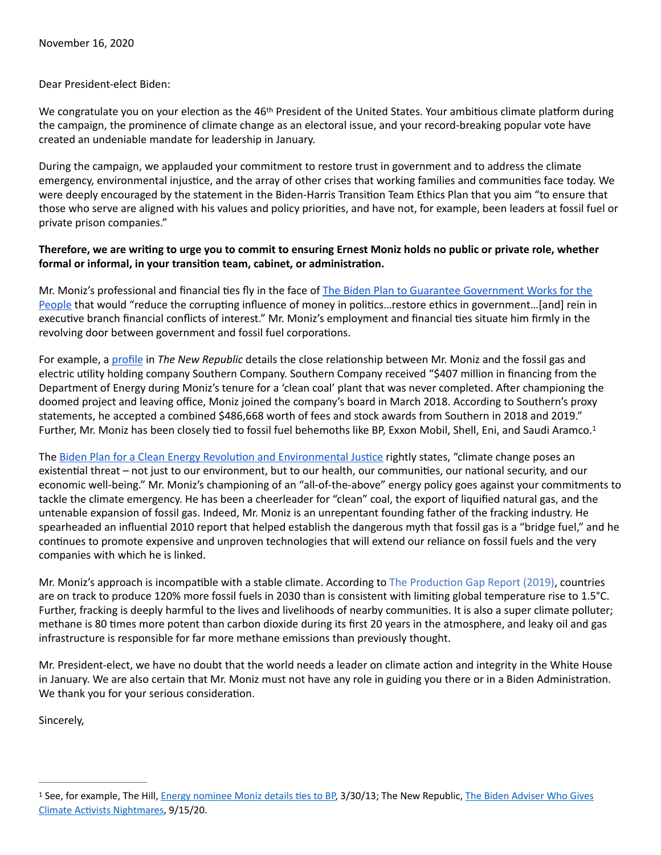## Dear President-elect Biden:

We congratulate you on your election as the 46<sup>th</sup> President of the United States. Your ambitious climate platform during the campaign, the prominence of climate change as an electoral issue, and your record-breaking popular vote have created an undeniable mandate for leadership in January.

During the campaign, we applauded your commitment to restore trust in government and to address the climate emergency, environmental injustice, and the array of other crises that working families and communities face today. We were deeply encouraged by the statement in the Biden-Harris Transition Team Ethics Plan that you aim "to ensure that those who serve are aligned with his values and policy priorities, and have not, for example, been leaders at fossil fuel or private prison companies."

## Therefore, we are writing to urge you to commit to ensuring Ernest Moniz holds no public or private role, whether formal or informal, in your transition team, cabinet, or administration.

Mr. Moniz's professional and financial ties fly in the face of The Biden Plan to Guarantee Government Works for the [People](https://joebiden.com/governmentreform/) that would "reduce the corrupting influence of money in politics…restore ethics in government…[and] rein in executive branch financial conflicts of interest." Mr. Moniz's employment and financial ties situate him firmly in the revolving door between government and fossil fuel corporations.

For example, a [profile](https://newrepublic.com/article/159357/ernie-moniz-biden-energy-gives-climate-nightmares) in *The New Republic* details the close relationship between Mr. Moniz and the fossil gas and electric utility holding company Southern Company. Southern Company received "\$407 million in financing from the Department of Energy during Moniz's tenure for a 'clean coal' plant that was never completed. After championing the doomed project and leaving office, Moniz joined the company's board in March 2018. According to Southern's proxy statements, he accepted a combined \$486,668 worth of fees and stock awards from Southern in 2018 and 2019." Further, Mr. Moniz has been closely tied to fossil fuel behemoths like BP, Exxon Mobil, Shell, Eni, and Saudi Aramco.<sup>[1](#page-0-0)</sup>

<span id="page-0-1"></span>The Biden Plan for a Clean Energy Revolution and Environmental Justice rightly states, "climate change poses an existential threat – not just to our environment, but to our health, our communities, our national security, and our economic well-being." Mr. Moniz's championing of an "all-of-the-above" energy policy goes against your commitments to tackle the climate emergency. He has been a cheerleader for "clean" coal, the export of liquified natural gas, and the untenable expansion of fossil gas. Indeed, Mr. Moniz is an unrepentant founding father of the fracking industry. He [spearheaded](https://archive.nytimes.com/www.nytimes.com/cwire/2010/06/25/25climatewire-mit-researchers-see-natural-gas-as-the-choic-68486.html?pagewanted=1) an influential 2010 report that helped establish the dangerous myth that fossil gas is a "bridge fuel," and he continues to promote expensive and unproven technologies that will extend our reliance on fossil fuels and the very companies with which he is linked.

Mr. Moniz's approach is incompatible with a stable climate. According to The Production Gap Report (2019), countries are on track to produce 120% more fossil fuels in 2030 than is consistent with limiting global temperature rise to 1.5°C. Further, fracking is deeply harmful to the lives and livelihoods of nearby communities. It is also a super climate polluter; methane is 80 times more potent than carbon dioxide during its first 20 years in the atmosphere, and leaky oil and gas infrastructure is responsible for far more methane emissions than previously thought.

Mr. President-elect, we have no doubt that the world needs a leader on climate action and integrity in the White House in January. We are also certain that Mr. Moniz must not have any role in guiding you there or in a Biden Administration. We thank you for your serious consideration.

Sincerely,

<span id="page-0-0"></span><sup>&</sup>lt;sup>[1](#page-0-1)</sup> See, for example, The Hill, *Energy nominee Moniz details ties to BP*, 3/30/13; The New Republic, The Biden Adviser Who Gives Climate Activists Nightmares, 9/15/20.